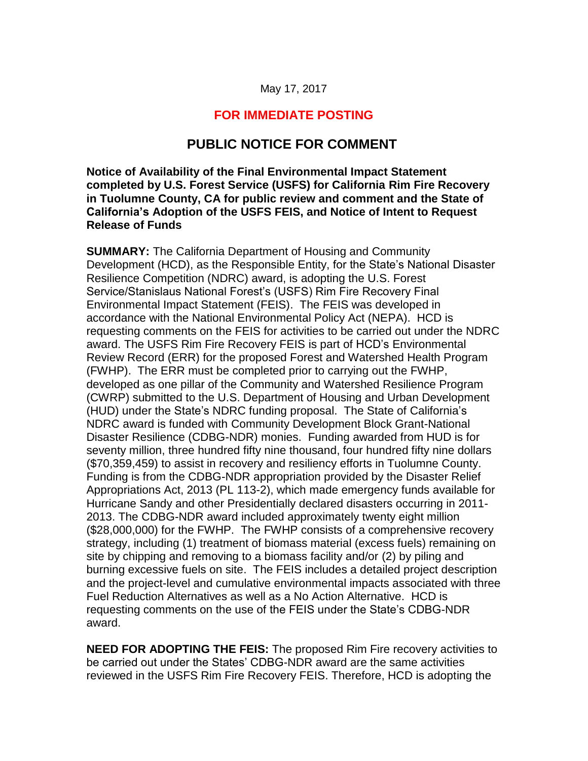#### May 17, 2017

### **FOR IMMEDIATE POSTING**

### **PUBLIC NOTICE FOR COMMENT**

**Notice of Availability of the Final Environmental Impact Statement completed by U.S. Forest Service (USFS) for California Rim Fire Recovery in Tuolumne County, CA for public review and comment and the State of California's Adoption of the USFS FEIS, and Notice of Intent to Request Release of Funds**

**SUMMARY:** The California Department of Housing and Community Development (HCD), as the Responsible Entity, for the State's National Disaster Resilience Competition (NDRC) award, is adopting the U.S. Forest Service/Stanislaus National Forest's (USFS) Rim Fire Recovery Final Environmental Impact Statement (FEIS). The FEIS was developed in accordance with the National Environmental Policy Act (NEPA). HCD is requesting comments on the FEIS for activities to be carried out under the NDRC award. The USFS Rim Fire Recovery FEIS is part of HCD's Environmental Review Record (ERR) for the proposed Forest and Watershed Health Program (FWHP). The ERR must be completed prior to carrying out the FWHP, developed as one pillar of the Community and Watershed Resilience Program (CWRP) submitted to the U.S. Department of Housing and Urban Development (HUD) under the State's NDRC funding proposal. The State of California's NDRC award is funded with Community Development Block Grant-National Disaster Resilience (CDBG-NDR) monies. Funding awarded from HUD is for seventy million, three hundred fifty nine thousand, four hundred fifty nine dollars (\$70,359,459) to assist in recovery and resiliency efforts in Tuolumne County. Funding is from the CDBG-NDR appropriation provided by the Disaster Relief Appropriations Act, 2013 (PL 113-2), which made emergency funds available for Hurricane Sandy and other Presidentially declared disasters occurring in 2011- 2013. The CDBG-NDR award included approximately twenty eight million (\$28,000,000) for the FWHP. The FWHP consists of a comprehensive recovery strategy, including (1) treatment of biomass material (excess fuels) remaining on site by chipping and removing to a biomass facility and/or (2) by piling and burning excessive fuels on site. The FEIS includes a detailed project description and the project-level and cumulative environmental impacts associated with three Fuel Reduction Alternatives as well as a No Action Alternative. HCD is requesting comments on the use of the FEIS under the State's CDBG-NDR award.

**NEED FOR ADOPTING THE FEIS:** The proposed Rim Fire recovery activities to be carried out under the States' CDBG-NDR award are the same activities reviewed in the USFS Rim Fire Recovery FEIS. Therefore, HCD is adopting the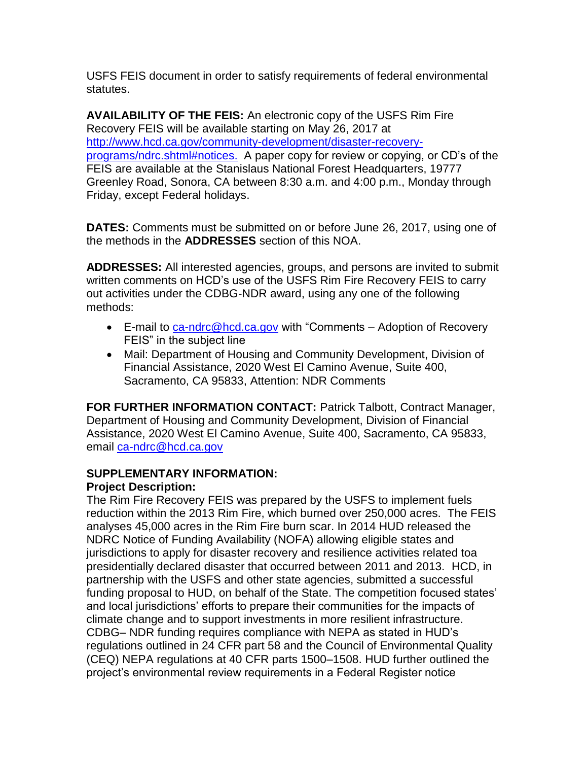USFS FEIS document in order to satisfy requirements of federal environmental statutes.

**AVAILABILITY OF THE FEIS:** An electronic copy of the USFS Rim Fire Recovery FEIS will be available starting on May 26, 2017 at [http://www.hcd.ca.gov/community-development/disaster-recovery](http://www.hcd.ca.gov/community-development/disaster-recovery-programs/ndrc.shtml#notices)[programs/ndrc.shtml#notices.](http://www.hcd.ca.gov/community-development/disaster-recovery-programs/ndrc.shtml#notices) A paper copy for review or copying, or CD's of the FEIS are available at the Stanislaus National Forest Headquarters, 19777 Greenley Road, Sonora, CA between 8:30 a.m. and 4:00 p.m., Monday through Friday, except Federal holidays.

**DATES:** Comments must be submitted on or before June 26, 2017, using one of the methods in the **ADDRESSES** section of this NOA.

**ADDRESSES:** All interested agencies, groups, and persons are invited to submit written comments on HCD's use of the USFS Rim Fire Recovery FEIS to carry out activities under the CDBG-NDR award, using any one of the following methods:

- E-mail to [ca-ndrc@hcd.ca.gov](mailto:ca-ndrc@hcd.ca.gov) with "Comments Adoption of Recovery FEIS" in the subject line
- Mail: Department of Housing and Community Development, Division of Financial Assistance, 2020 West El Camino Avenue, Suite 400, Sacramento, CA 95833, Attention: NDR Comments

**FOR FURTHER INFORMATION CONTACT:** Patrick Talbott, Contract Manager, Department of Housing and Community Development, Division of Financial Assistance, 2020 West El Camino Avenue, Suite 400, Sacramento, CA 95833, email [ca-ndrc@hcd.ca.gov](mailto:ca-ndrc@hcd.ca.gov)

### **SUPPLEMENTARY INFORMATION:**

### **Project Description:**

The Rim Fire Recovery FEIS was prepared by the USFS to implement fuels reduction within the 2013 Rim Fire, which burned over 250,000 acres. The FEIS analyses 45,000 acres in the Rim Fire burn scar. In 2014 HUD released the NDRC Notice of Funding Availability (NOFA) allowing eligible states and jurisdictions to apply for disaster recovery and resilience activities related toa presidentially declared disaster that occurred between 2011 and 2013. HCD, in partnership with the USFS and other state agencies, submitted a successful funding proposal to HUD, on behalf of the State. The competition focused states' and local jurisdictions' efforts to prepare their communities for the impacts of climate change and to support investments in more resilient infrastructure. CDBG– NDR funding requires compliance with NEPA as stated in HUD's regulations outlined in 24 CFR part 58 and the Council of Environmental Quality (CEQ) NEPA regulations at 40 CFR parts 1500–1508. HUD further outlined the project's environmental review requirements in a Federal Register notice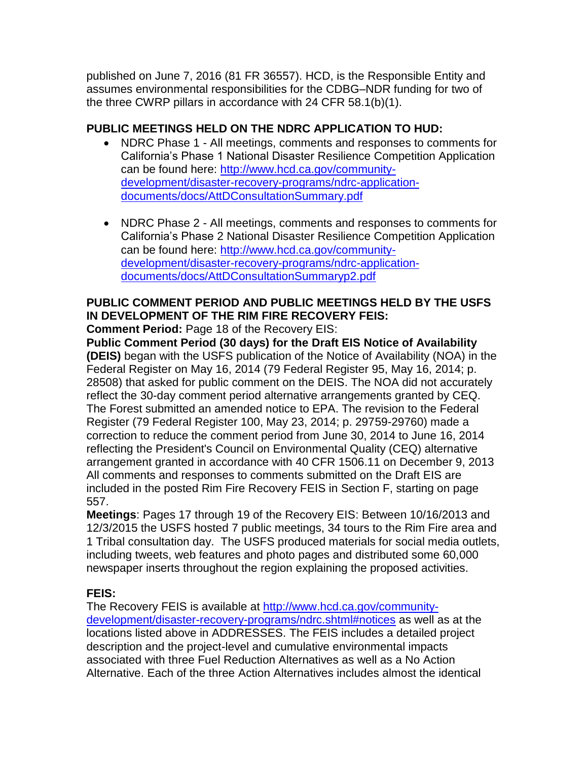published on June 7, 2016 (81 FR 36557). HCD, is the Responsible Entity and assumes environmental responsibilities for the CDBG–NDR funding for two of the three CWRP pillars in accordance with 24 CFR 58.1(b)(1).

## **PUBLIC MEETINGS HELD ON THE NDRC APPLICATION TO HUD:**

- NDRC Phase 1 All meetings, comments and responses to comments for California's Phase 1 National Disaster Resilience Competition Application can be found here: [http://www.hcd.ca.gov/community](http://www.hcd.ca.gov/community-development/disaster-recovery-programs/ndrc-application-documents/docs/AttDConsultationSummary.pdf)[development/disaster-recovery-programs/ndrc-application](http://www.hcd.ca.gov/community-development/disaster-recovery-programs/ndrc-application-documents/docs/AttDConsultationSummary.pdf)[documents/docs/AttDConsultationSummary.pdf](http://www.hcd.ca.gov/community-development/disaster-recovery-programs/ndrc-application-documents/docs/AttDConsultationSummary.pdf)
- NDRC Phase 2 All meetings, comments and responses to comments for California's Phase 2 National Disaster Resilience Competition Application can be found here: [http://www.hcd.ca.gov/community](http://www.hcd.ca.gov/community-development/disaster-recovery-programs/ndrc-application-documents/docs/AttDConsultationSummaryp2.pdf)[development/disaster-recovery-programs/ndrc-application](http://www.hcd.ca.gov/community-development/disaster-recovery-programs/ndrc-application-documents/docs/AttDConsultationSummaryp2.pdf)[documents/docs/AttDConsultationSummaryp2.pdf](http://www.hcd.ca.gov/community-development/disaster-recovery-programs/ndrc-application-documents/docs/AttDConsultationSummaryp2.pdf)

# **PUBLIC COMMENT PERIOD AND PUBLIC MEETINGS HELD BY THE USFS IN DEVELOPMENT OF THE RIM FIRE RECOVERY FEIS:**

**Comment Period:** Page 18 of the Recovery EIS:

**Public Comment Period (30 days) for the Draft EIS Notice of Availability (DEIS)** began with the USFS publication of the Notice of Availability (NOA) in the Federal Register on May 16, 2014 (79 Federal Register 95, May 16, 2014; p. 28508) that asked for public comment on the DEIS. The NOA did not accurately reflect the 30-day comment period alternative arrangements granted by CEQ. The Forest submitted an amended notice to EPA. The revision to the Federal Register (79 Federal Register 100, May 23, 2014; p. 29759-29760) made a correction to reduce the comment period from June 30, 2014 to June 16, 2014 reflecting the President's Council on Environmental Quality (CEQ) alternative arrangement granted in accordance with 40 CFR 1506.11 on December 9, 2013 All comments and responses to comments submitted on the Draft EIS are included in the posted Rim Fire Recovery FEIS in Section F, starting on page 557.

**Meetings**: Pages 17 through 19 of the Recovery EIS: Between 10/16/2013 and 12/3/2015 the USFS hosted 7 public meetings, 34 tours to the Rim Fire area and 1 Tribal consultation day. The USFS produced materials for social media outlets, including tweets, web features and photo pages and distributed some 60,000 newspaper inserts throughout the region explaining the proposed activities.

## **FEIS:**

The Recovery FEIS is available at [http://www.hcd.ca.gov/community](http://www.hcd.ca.gov/community-development/disaster-recovery-programs/ndrc.shtml#notices)[development/disaster-recovery-programs/ndrc.shtml#notices](http://www.hcd.ca.gov/community-development/disaster-recovery-programs/ndrc.shtml#notices) as well as at the locations listed above in ADDRESSES. The FEIS includes a detailed project description and the project-level and cumulative environmental impacts associated with three Fuel Reduction Alternatives as well as a No Action Alternative. Each of the three Action Alternatives includes almost the identical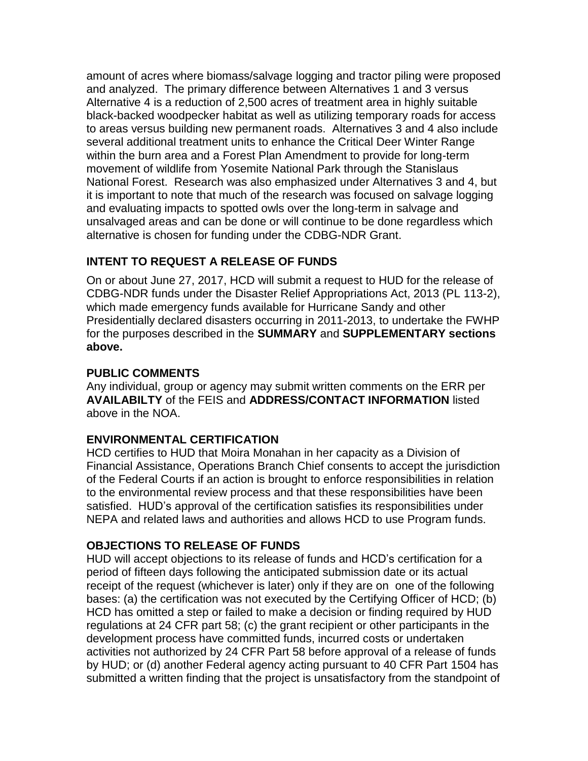amount of acres where biomass/salvage logging and tractor piling were proposed and analyzed. The primary difference between Alternatives 1 and 3 versus Alternative 4 is a reduction of 2,500 acres of treatment area in highly suitable black-backed woodpecker habitat as well as utilizing temporary roads for access to areas versus building new permanent roads. Alternatives 3 and 4 also include several additional treatment units to enhance the Critical Deer Winter Range within the burn area and a Forest Plan Amendment to provide for long-term movement of wildlife from Yosemite National Park through the Stanislaus National Forest. Research was also emphasized under Alternatives 3 and 4, but it is important to note that much of the research was focused on salvage logging and evaluating impacts to spotted owls over the long-term in salvage and unsalvaged areas and can be done or will continue to be done regardless which alternative is chosen for funding under the CDBG-NDR Grant.

### **INTENT TO REQUEST A RELEASE OF FUNDS**

On or about June 27, 2017, HCD will submit a request to HUD for the release of CDBG-NDR funds under the Disaster Relief Appropriations Act, 2013 (PL 113-2), which made emergency funds available for Hurricane Sandy and other Presidentially declared disasters occurring in 2011-2013, to undertake the FWHP for the purposes described in the **SUMMARY** and **SUPPLEMENTARY sections above.** 

### **PUBLIC COMMENTS**

Any individual, group or agency may submit written comments on the ERR per **AVAILABILTY** of the FEIS and **ADDRESS/CONTACT INFORMATION** listed above in the NOA.

## **ENVIRONMENTAL CERTIFICATION**

HCD certifies to HUD that Moira Monahan in her capacity as a Division of Financial Assistance, Operations Branch Chief consents to accept the jurisdiction of the Federal Courts if an action is brought to enforce responsibilities in relation to the environmental review process and that these responsibilities have been satisfied. HUD's approval of the certification satisfies its responsibilities under NEPA and related laws and authorities and allows HCD to use Program funds.

### **OBJECTIONS TO RELEASE OF FUNDS**

HUD will accept objections to its release of funds and HCD's certification for a period of fifteen days following the anticipated submission date or its actual receipt of the request (whichever is later) only if they are on one of the following bases: (a) the certification was not executed by the Certifying Officer of HCD; (b) HCD has omitted a step or failed to make a decision or finding required by HUD regulations at 24 CFR part 58; (c) the grant recipient or other participants in the development process have committed funds, incurred costs or undertaken activities not authorized by 24 CFR Part 58 before approval of a release of funds by HUD; or (d) another Federal agency acting pursuant to 40 CFR Part 1504 has submitted a written finding that the project is unsatisfactory from the standpoint of